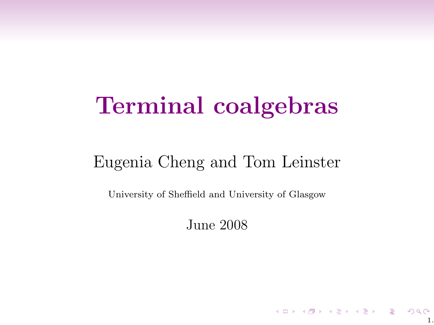# Terminal coalgebras

## Eugenia Cheng and Tom Leinster

University of Sheffield and University of Glasgow

June 2008

1.

イロト イ団ト イミト イミト ニミー りんぴ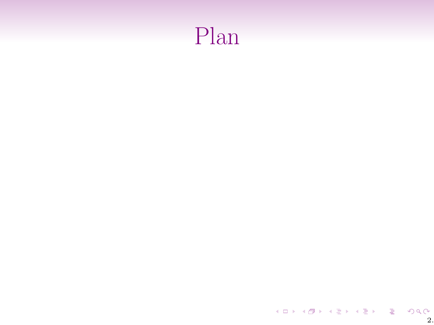# Plan

 $\begin{array}{ccccccccc} \left\{ \begin{array}{ccc} \text{1.5} & \text{2.5} & \text{2.5} & \text{2.5} & \text{2.5} & \text{2.5} & \text{2.5} \end{array} \right. & \left. \begin{array}{ccc} \text{2.5} & \text{2.5} & \text{2.5} & \text{2.5} & \text{2.5} \end{array} \right. \end{array}$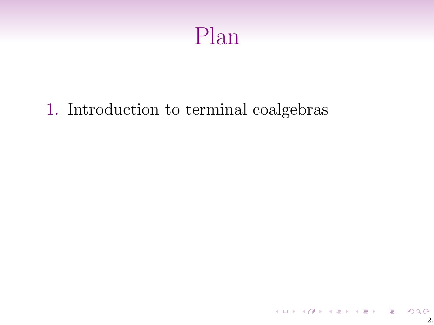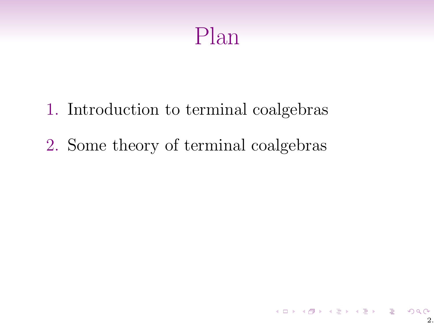

- 1. Introduction to terminal coalgebras
- 2. Some theory of terminal coalgebras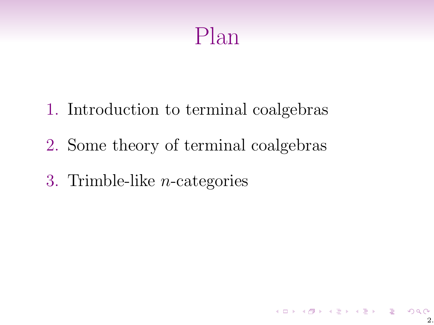## Plan

- 1. Introduction to terminal coalgebras
- 2. Some theory of terminal coalgebras
- 3. Trimble-like n-categories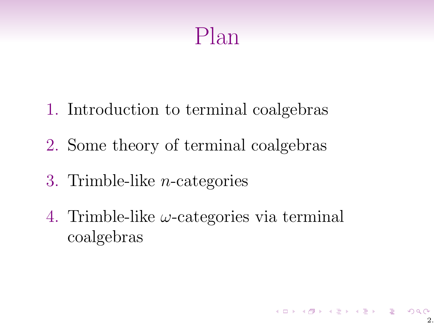## Plan

- 1. Introduction to terminal coalgebras
- 2. Some theory of terminal coalgebras
- 3. Trimble-like n-categories
- 4. Trimble-like  $\omega$ -categories via terminal coalgebras

 $\mathbf{1} \oplus \mathbf{1} \rightarrow \mathbf{1} \oplus \mathbf{1} \rightarrow \mathbf{1} \oplus \mathbf{1} \rightarrow \mathbf{1} \oplus \mathbf{1} \rightarrow \mathbf{1} \oplus \mathbf{1} \rightarrow \mathbf{1} \oplus \mathbf{1} \oplus \mathbf{1} \oplus \mathbf{1} \oplus \mathbf{1} \oplus \mathbf{1} \oplus \mathbf{1} \oplus \mathbf{1} \oplus \mathbf{1} \oplus \mathbf{1} \oplus \mathbf{1} \oplus \mathbf{1} \oplus \mathbf{1} \oplus \mathbf{1} \oplus \mathbf{1} \oplus$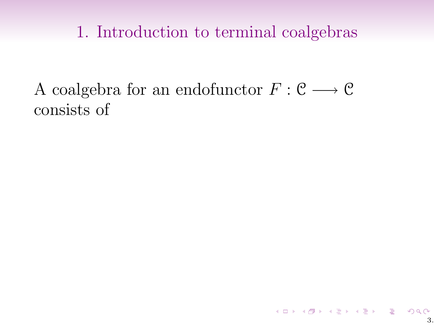A coalgebra for an endofunctor  $F: \mathcal{C} \longrightarrow \mathcal{C}$ consists of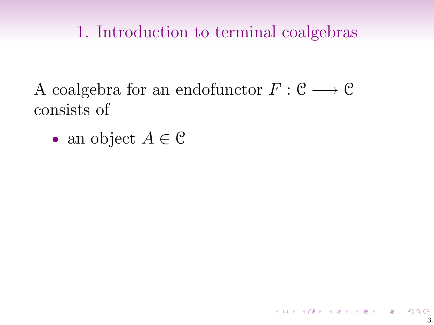A coalgebra for an endofunctor  $F: \mathcal{C} \longrightarrow \mathcal{C}$ consists of

• an object  $A \in \mathcal{C}$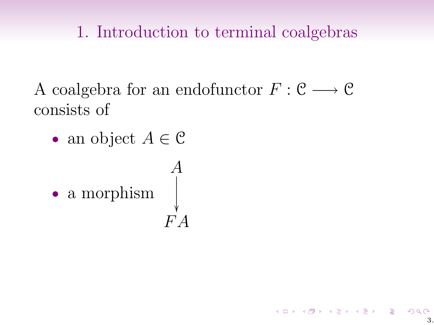A coalgebra for an endofunctor  $F: \mathcal{C} \longrightarrow \mathcal{C}$ consists of

• an object  $A \in \mathcal{C}$ 

• a morphism 
$$
\begin{array}{c} A \\ \downarrow \\ F A \end{array}
$$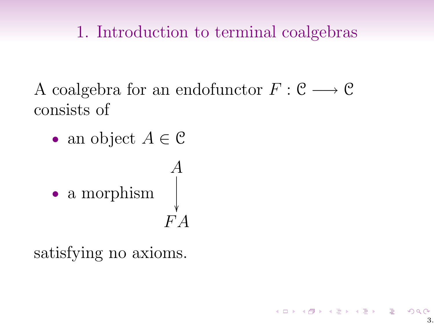A coalgebra for an endofunctor  $F: \mathcal{C} \longrightarrow \mathcal{C}$ consists of

• an object  $A \in \mathcal{C}$ 

• a morphism 
$$
\begin{array}{c} A \\ \downarrow \\ F A \end{array}
$$

satisfying no axioms.

 $\mathbf{1} \oplus \mathbf{1} \rightarrow \mathbf{1} \oplus \mathbf{1} \rightarrow \mathbf{1} \oplus \mathbf{1} \rightarrow \mathbf{1} \oplus \mathbf{1} \rightarrow \mathbf{1} \oplus \mathbf{1} \rightarrow \mathbf{1} \oplus \mathbf{1} \oplus \mathbf{1} \oplus \mathbf{1} \oplus \mathbf{1} \oplus \mathbf{1} \oplus \mathbf{1} \oplus \mathbf{1} \oplus \mathbf{1} \oplus \mathbf{1} \oplus \mathbf{1} \oplus \mathbf{1} \oplus \mathbf{1} \oplus \mathbf{1} \oplus \mathbf{1} \oplus$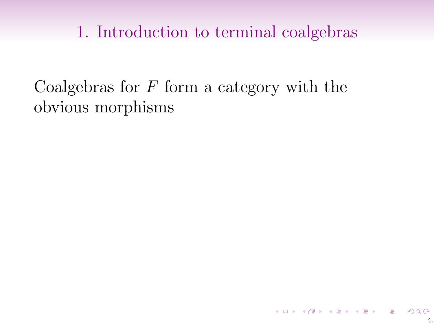Coalgebras for  $F$  form a category with the obvious morphisms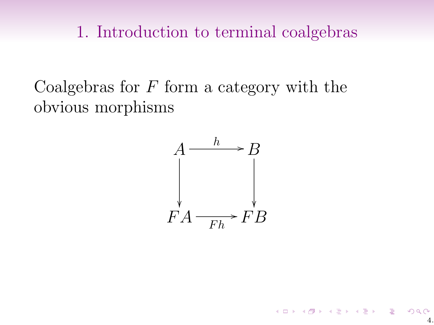Coalgebras for  $F$  form a category with the obvious morphisms

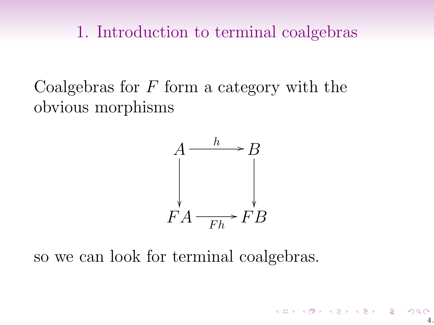Coalgebras for  $F$  form a category with the obvious morphisms



so we can look for terminal coalgebras.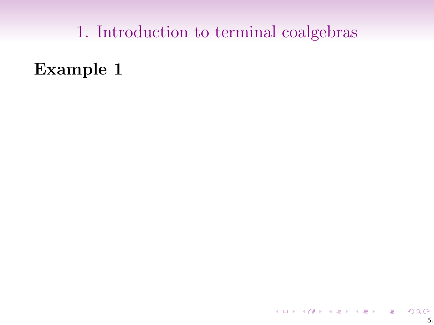Example 1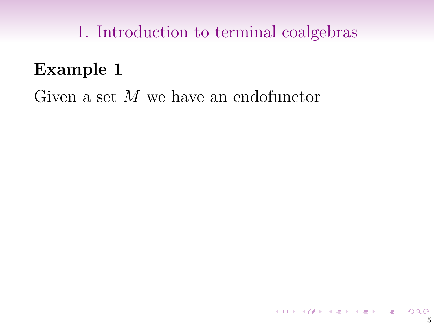## Example 1

Given a set M we have an endofunctor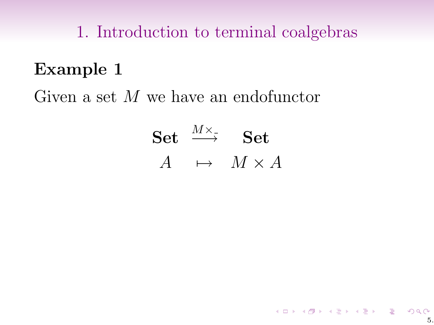## Example 1

Given a set M we have an endofunctor

Set 
$$
\xrightarrow{M \times \sim}
$$
 Set  
 $A \mapsto M \times A$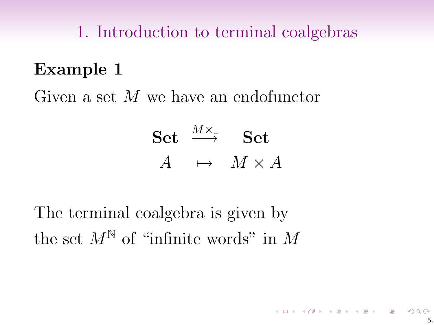## Example 1

Given a set M we have an endofunctor

Set 
$$
\xrightarrow{M \times \sim}
$$
 Set  
 $A \mapsto M \times A$ 

The terminal coalgebra is given by the set  $M^{\mathbb{N}}$  of "infinite words" in M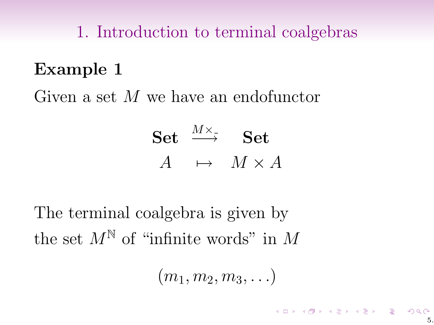## Example 1

Given a set M we have an endofunctor

Set 
$$
\xrightarrow{M \times \sim}
$$
 Set  
 $A \mapsto M \times A$ 

The terminal coalgebra is given by the set  $M^{\mathbb{N}}$  of "infinite words" in M

 $(m_1, m_2, m_3, \ldots)$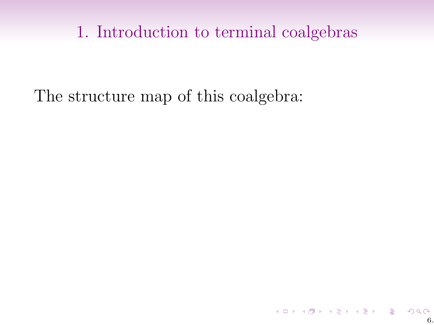The structure map of this coalgebra: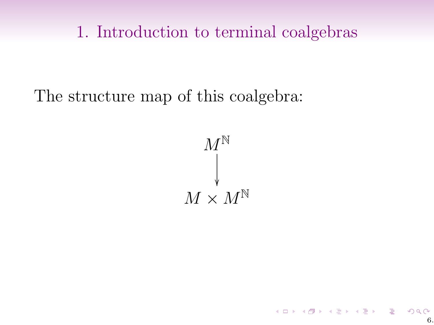The structure map of this coalgebra:



(ロ) (日) (동) (동) - 동) 이익()<br>6.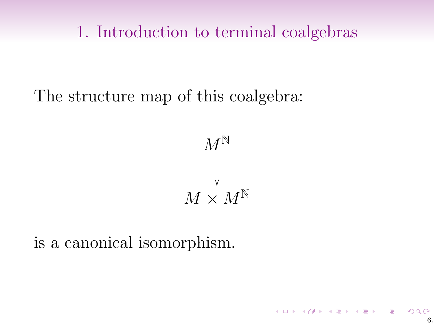The structure map of this coalgebra:



(ロ) (日) (동) (동) - 동) 이익()<br>6.

is a canonical isomorphism.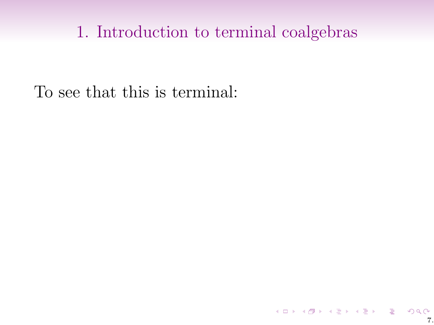To see that this is terminal: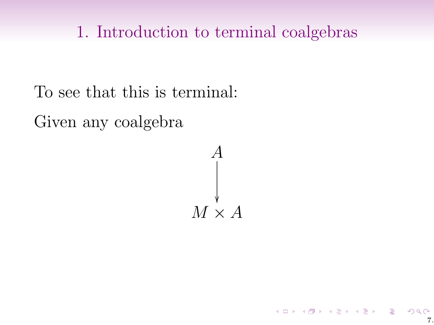To see that this is terminal:

Given any coalgebra

 $M \times A$ A ľ

7.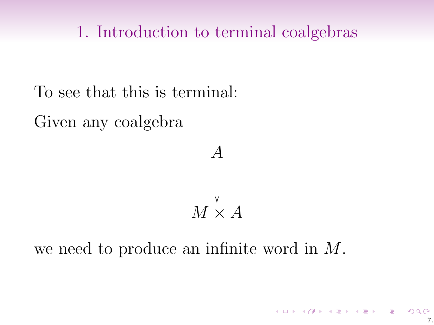To see that this is terminal:

Given any coalgebra



we need to produce an infinite word in M.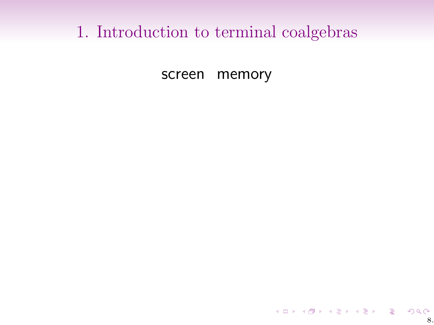screen memory

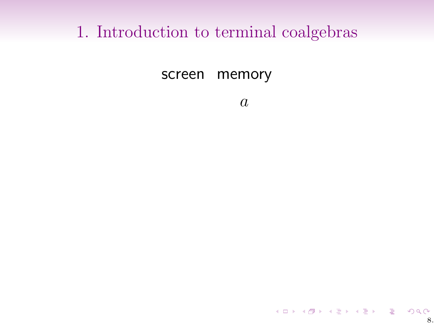screen memory

 $\boldsymbol{a}$ 

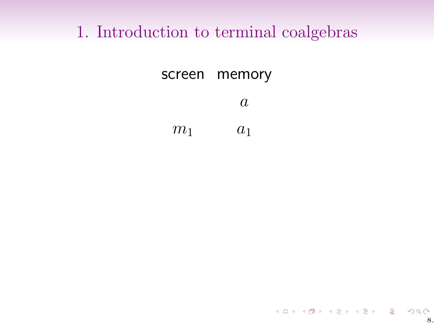screen memory a  $m_1$   $a_1$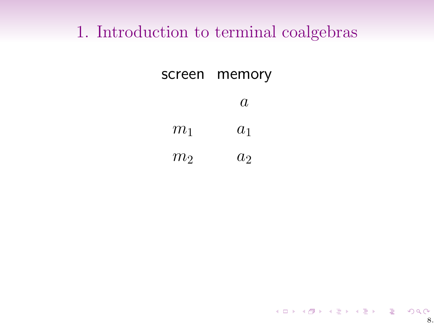| screen         | memory |
|----------------|--------|
|                | A.     |
| $m_1$          | $a_1$  |
| m <sub>2</sub> | $a_2$  |

8.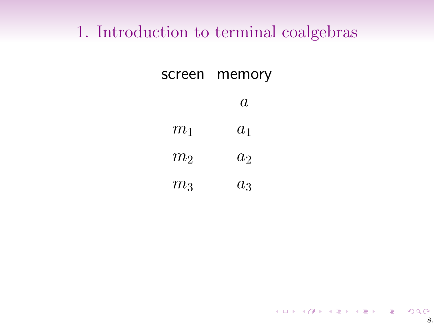| screen | memory |
|--------|--------|
|        | a      |
| $m_1$  | $a_1$  |
| $m_2$  | $a_2$  |
| $m_3$  | $a_3$  |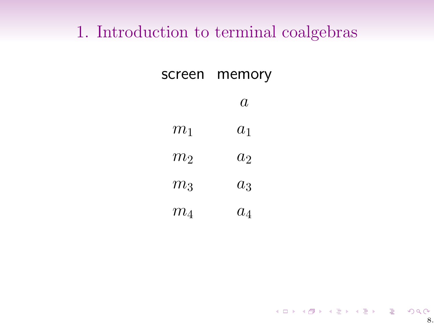| screen         | memory |
|----------------|--------|
|                | a      |
| $m_1$          | $a_1$  |
| $m_{2}$        | $a_2$  |
| m <sub>3</sub> | $a_3$  |
| $m_{4}$        | $a_4$  |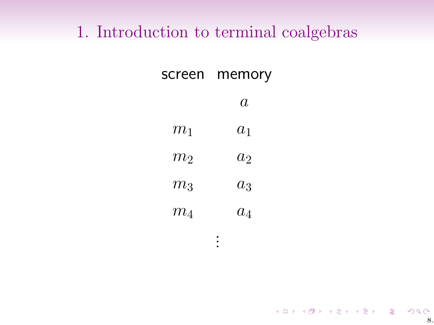| screen  | memory |
|---------|--------|
|         | a      |
| $m_1$   | $a_1$  |
| $m_2$   | $a_2$  |
| $m_3$   | $a_3$  |
| $m_{4}$ | $a_4$  |

. . .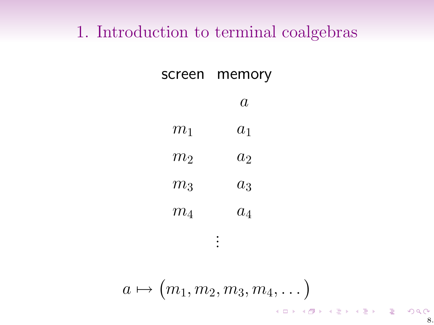| screen         | memory |
|----------------|--------|
|                | a      |
| $m_1$          | $a_1$  |
| $m_{2}$        | $a_2$  |
| m <sub>3</sub> | $a_3$  |
| $m_{4}$        | $a_4$  |

. . .

$$
a\mapsto (m_1,m_2,m_3,m_4,\dots) \qquad \qquad
$$

 $299$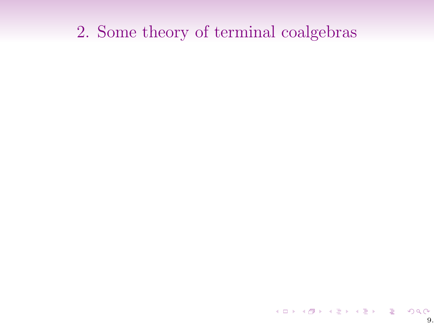## 2. Some theory of terminal coalgebras

9.<br>9. 네이버 (1) 4월 3일 4월 3일 - 호텔 수 있습니다.<br>19.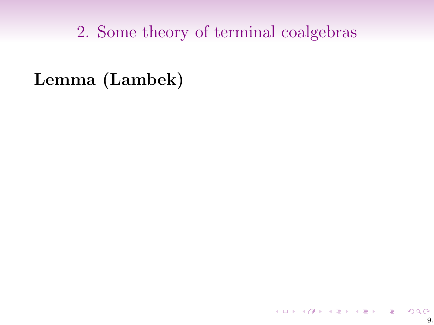2. Some theory of terminal coalgebras

#### Lemma (Lambek)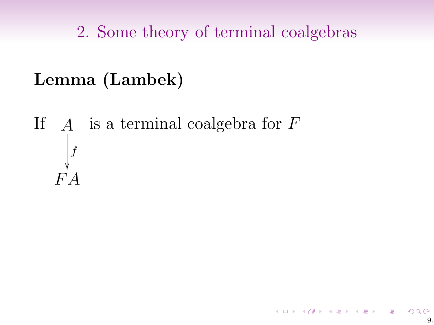2. Some theory of terminal coalgebras

## Lemma (Lambek)

If  $A$  is a terminal coalgebra for  $F$  $FA$ f ľ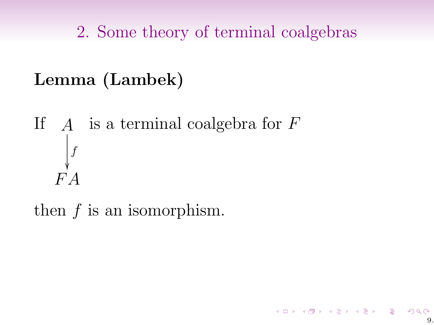# Lemma (Lambek)

If  $A$  is a terminal coalgebra for  $F$  $FA$ f ľ

then f is an isomorphism.

.<br>9. 이 시간에서 이 시도에서 도시 시작이다.<br>9.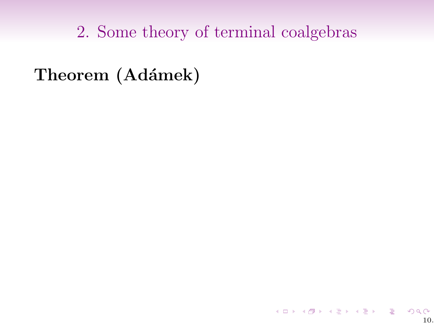Theorem (Adámek)

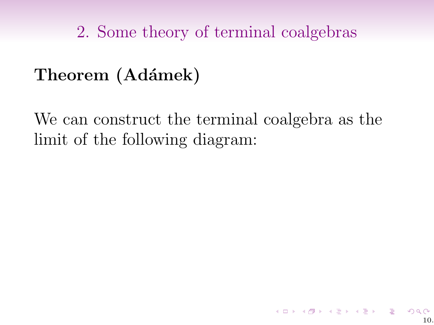# Theorem (Adámek)

We can construct the terminal coalgebra as the limit of the following diagram:

K ロ X K @ X K 할 X K 할 X ( 할 X )

 $10$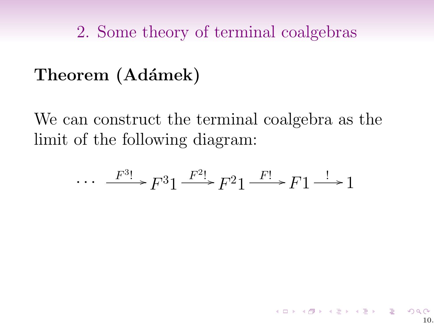# Theorem (Adámek)

We can construct the terminal coalgebra as the limit of the following diagram:

$$
\cdots \xrightarrow{F^{3}!} F^{3}1 \xrightarrow{F^{2}!} F^{2}1 \xrightarrow{F!} F1 \xrightarrow{!} 1
$$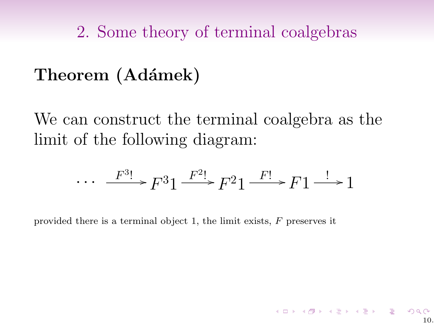# Theorem (Adámek)

We can construct the terminal coalgebra as the limit of the following diagram:

$$
\cdots \xrightarrow{F^{3}!} F^{3}1 \xrightarrow{F^{2}!} F^{2}1 \xrightarrow{F!} F1 \xrightarrow{!} 1
$$

provided there is a terminal object 1, the limit exists,  $F$  preserves it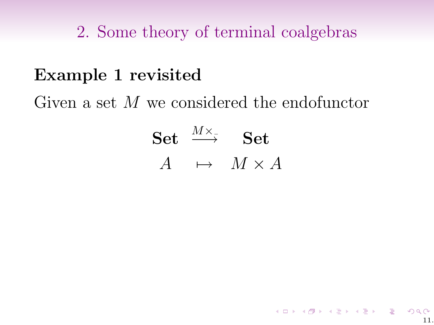### Example 1 revisited

Given a set M we considered the endofunctor

 $\operatorname{Set} \ \stackrel{M \times_{\textnormal{-}}}{\longrightarrow} \ \ \operatorname{Set}$  $A \rightarrow M \times A$ 

11.

K ロ ▶ K 레 ▶ K 코 ▶ K 코 ▶ │ 코 │ ◆ 9 Q ⊙ |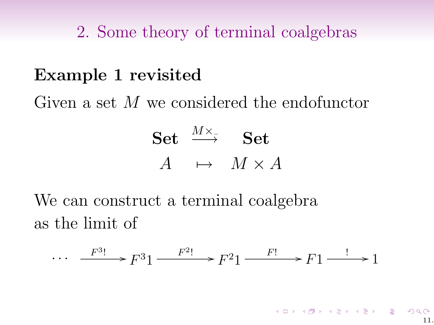### Example 1 revisited

Given a set M we considered the endofunctor

Set 
$$
\xrightarrow{M \times \sim}
$$
 Set  
 $A \mapsto M \times A$ 

We can construct a terminal coalgebra as the limit of

$$
\cdots \xrightarrow{F^{3}!} F^{3}1 \xrightarrow{F^{2}!} F^{2}1 \xrightarrow{F!} F1 \xrightarrow{!} 1
$$

メロメ メタメ メミメ メミメン 毛の 11.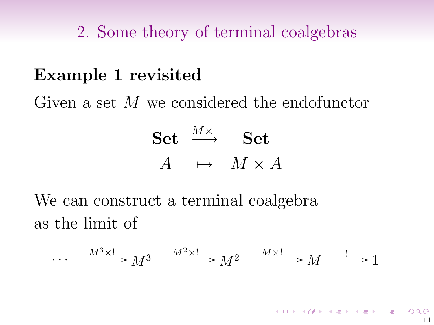### Example 1 revisited

Given a set M we considered the endofunctor

Set 
$$
\xrightarrow{M \times \sim}
$$
 Set  
 $A \mapsto M \times A$ 

We can construct a terminal coalgebra as the limit of

$$
\cdots \quad \xrightarrow{M^3 \times !} M^3 \xrightarrow{M^2 \times !} M^2 \xrightarrow{M \times !} M \xrightarrow{!} 1
$$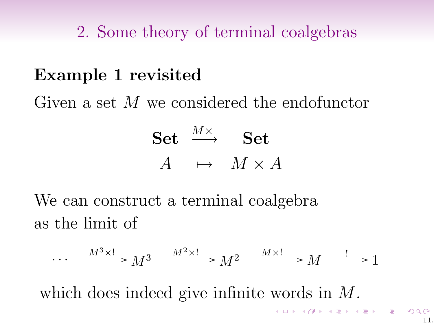### Example 1 revisited

Given a set M we considered the endofunctor

Set 
$$
\xrightarrow{M \times \sim}
$$
 Set  
 $A \mapsto M \times A$ 

We can construct a terminal coalgebra as the limit of

$$
\cdots \quad \xrightarrow{M^3 \times !} M^3 \xrightarrow{M^2 \times !} M^2 \xrightarrow{M \times !} M \xrightarrow{!} 1
$$

which does indeed give infinite words in M.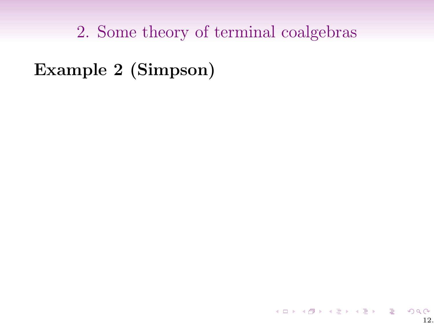Example 2 (Simpson)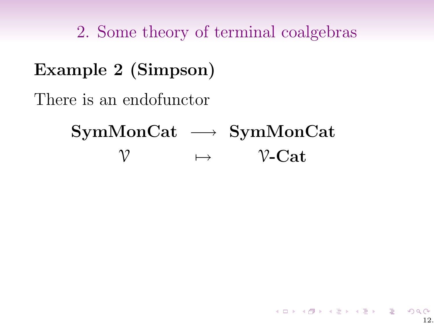Example 2 (Simpson)

There is an endofunctor

SymMonCat → SymMonCat  $\mathcal V \longrightarrow \mathcal V\text{-}\mathbf{Cat}$ 

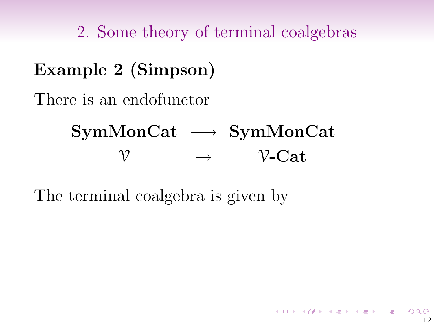Example 2 (Simpson) There is an endofunctor

> SymMonCat → SymMonCat  $\mathcal V \longrightarrow \mathcal V\text{-}\mathbf{Cat}$

> > 12.

K □ ▶ K @ ▶ K 할 > K 할 > 1 할 > 1 ⊙ Q Q ^

The terminal coalgebra is given by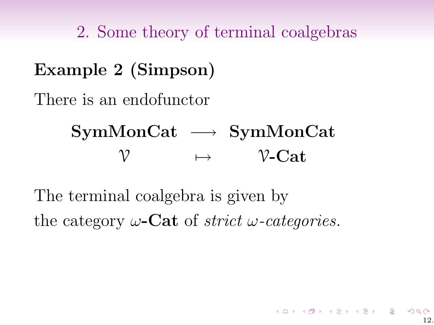Example 2 (Simpson) There is an endofunctor SymMonCat → SymMonCat  $\mathcal{V} \longrightarrow \mathcal{V}\text{-}\mathbf{Cat}$ 

The terminal coalgebra is given by the category  $\omega$ -Cat of *strict*  $\omega$ -categories.

12.

イロト イ御 トメ 君 トメ 君 トー 君 一の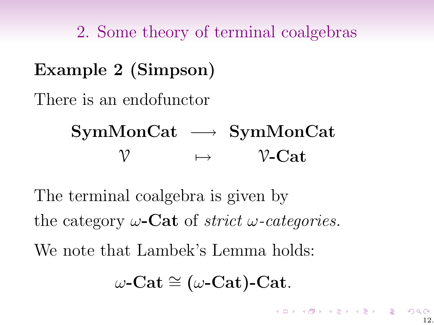Example 2 (Simpson) There is an endofunctor SymMonCat → SymMonCat  $\mathcal V$   $\mapsto$   $\mathcal V\text{-}\mathbf{Cat}$ 

The terminal coalgebra is given by the category  $\omega$ -Cat of *strict*  $\omega$ -categories. We note that Lambek's Lemma holds:

 $\omega$ -Cat ≅ ( $\omega$ -Cat)-Cat.

K ロ X (日) X (日) X (日) X (日) X (日) X (日) X (日) X (日) X (日) X (日) X (日) X (日)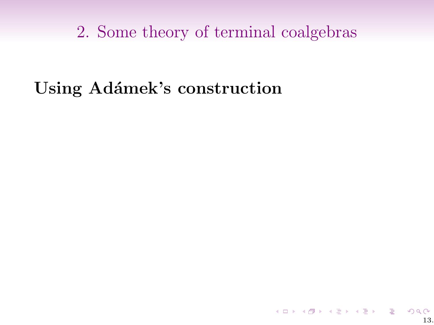## Using Adámek's construction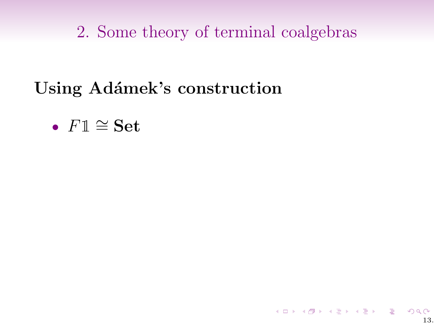# Using Adámek's construction

•  $F1 \cong$  Set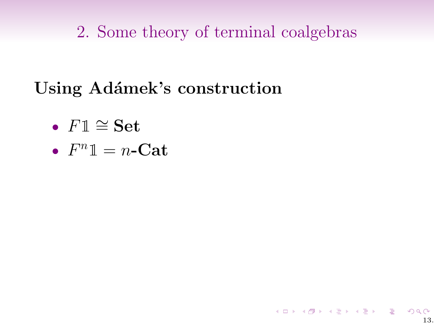K ロ K K 日 K K ミ K K E K H H V Q Q Q C

 $13.$ 

# Using Adámek's construction

- $F1 \cong$  Set
- $F^n \mathbb{1} = n$ -Cat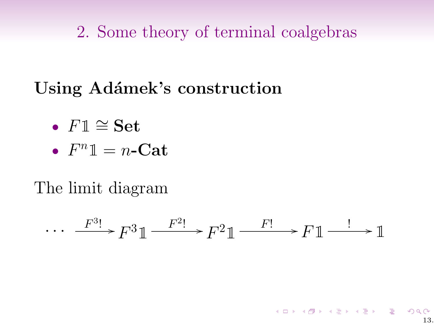# Using Adámek's construction

- $F1 \cong$  Set
- $F^n \mathbb{1} = n$ -Cat

The limit diagram

$$
\cdots \xrightarrow{F^{3}!} F^{3}1 \xrightarrow{F^{2}!} F^{2}1 \xrightarrow{F!} F1 \xrightarrow{!} 1
$$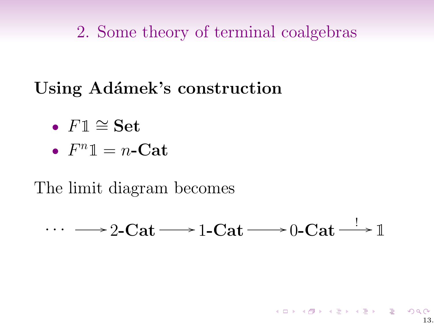# Using Adámek's construction

- $F1 \cong Set$
- $F^n \mathbb{1} = n$ -Cat

### The limit diagram becomes

 $\cdots \longrightarrow$  2-Cat  $\longrightarrow$  1-Cat  $\longrightarrow$  0-Cat  $\stackrel{!}{\longrightarrow} \mathbb{1}$ 

K ロ ▶ K 레 ▶ K 코 ▶ K 코 ▶ │ 코 │ K 9 Q @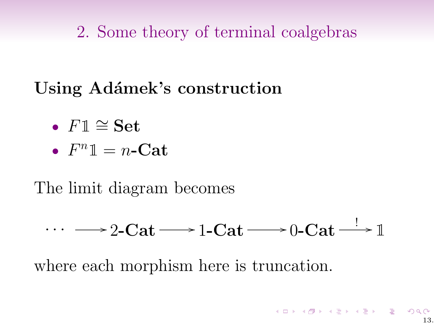# Using Adámek's construction

- $F1 \cong Set$
- $F^n \mathbb{1} = n$ -Cat

### The limit diagram becomes

$$
\cdots \longrightarrow 2\text{-}\mathbf{Cat} \longrightarrow 1\text{-}\mathbf{Cat} \longrightarrow 0\text{-}\mathbf{Cat} \longrightarrow \mathbb{1}
$$

where each morphism here is truncation.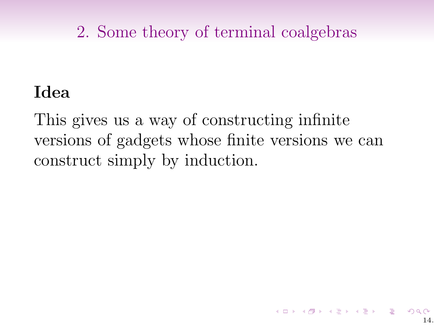### Idea

This gives us a way of constructing infinite versions of gadgets whose finite versions we can construct simply by induction.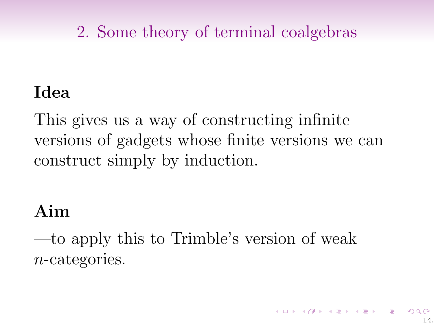### Idea

This gives us a way of constructing infinite versions of gadgets whose finite versions we can construct simply by induction.

### Aim

—to apply this to Trimble's version of weak n-categories.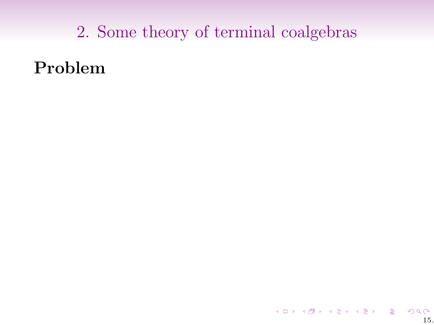Problem

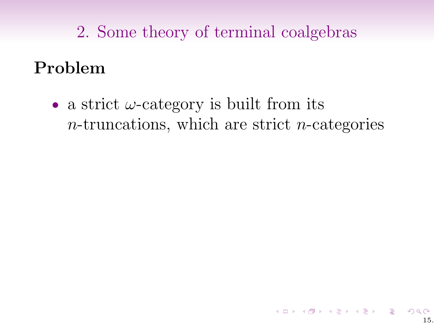# Problem

• a strict  $\omega$ -category is built from its  $n$ -truncations, which are strict  $n$ -categories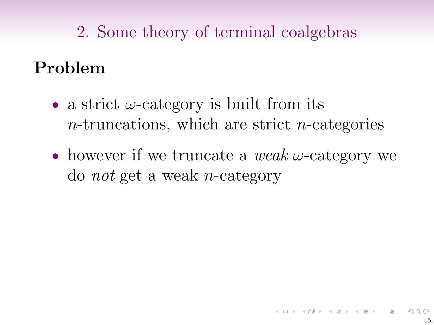# Problem

- a strict  $\omega$ -category is built from its  $n$ -truncations, which are strict  $n$ -categories
- however if we truncate a weak  $\omega$ -category we do not get a weak n-category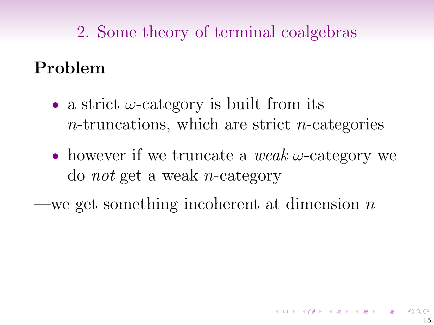# Problem

- a strict  $\omega$ -category is built from its  $n$ -truncations, which are strict  $n$ -categories
- however if we truncate a weak  $\omega$ -category we do not get a weak n-category

-we get something incoherent at dimension  $n$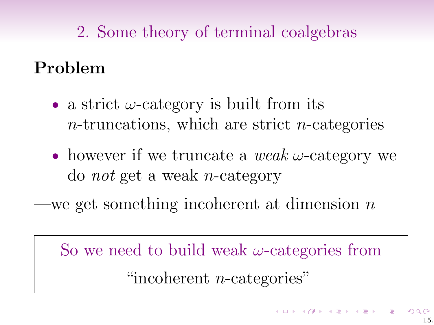### Problem

- a strict  $\omega$ -category is built from its  $n$ -truncations, which are strict  $n$ -categories
- however if we truncate a weak  $\omega$ -category we do not get a weak n-category

we get something incoherent at dimension  $n$ 

So we need to build weak  $\omega$ -categories from "incoherent *n*-categories"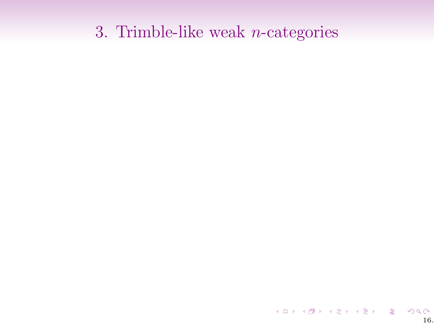イロト イ団ト イミト イミト ニミー りんぴ 16.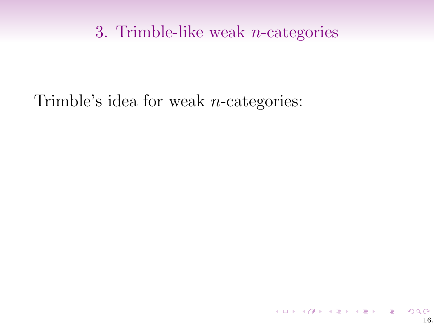### Trimble's idea for weak n-categories:

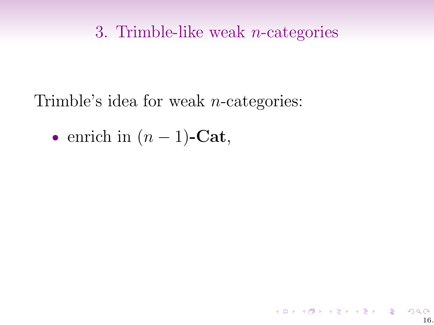Trimble's idea for weak n-categories:

• enrich in  $(n-1)$ -Cat,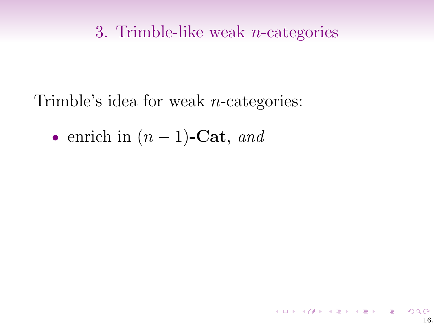Trimble's idea for weak n-categories:

• enrich in  $(n-1)$ -Cat, and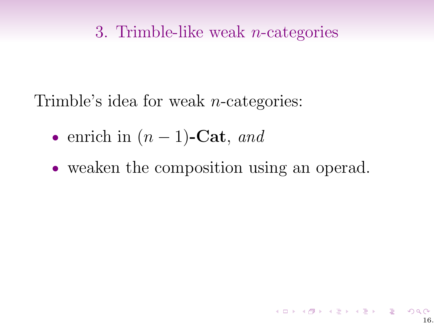Trimble's idea for weak n-categories:

- enrich in  $(n-1)$ -Cat, and
- weaken the composition using an operad.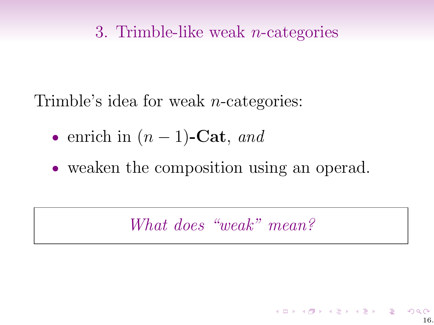Trimble's idea for weak n-categories:

- enrich in  $(n-1)$ -Cat, and
- weaken the composition using an operad.

What does "weak" mean?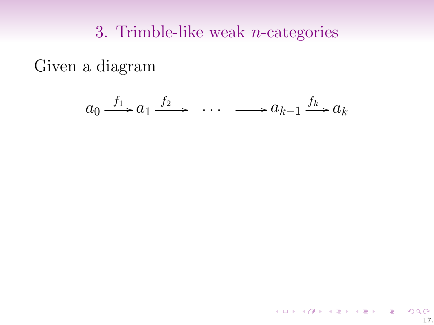Given a diagram

$$
a_0 \xrightarrow{f_1} a_1 \xrightarrow{f_2} \cdots \xrightarrow{f_k} a_k
$$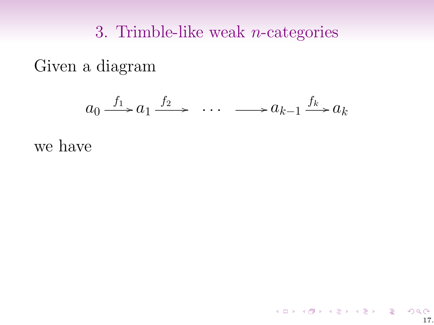Given a diagram

$$
a_0 \xrightarrow{f_1} a_1 \xrightarrow{f_2} \cdots \xrightarrow{f_k} a_{k-1} \xrightarrow{f_k} a_k
$$

17.

K ロ K K 日 K K ミ K K E K H H V Q Q Q C

we have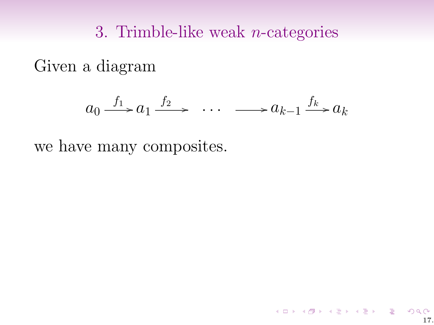Given a diagram

$$
a_0 \xrightarrow{f_1} a_1 \xrightarrow{f_2} \cdots \xrightarrow{f_k} a_k
$$

we have many composites.

17.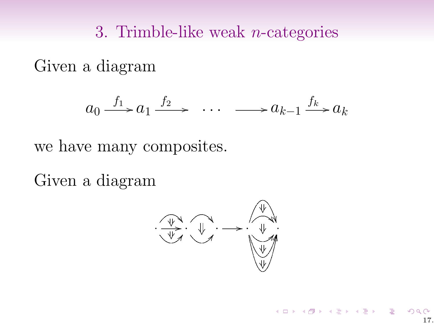Given a diagram

$$
a_0 \xrightarrow{f_1} a_1 \xrightarrow{f_2} \cdots \xrightarrow{f_k} a_k
$$

we have many composites.

Given a diagram

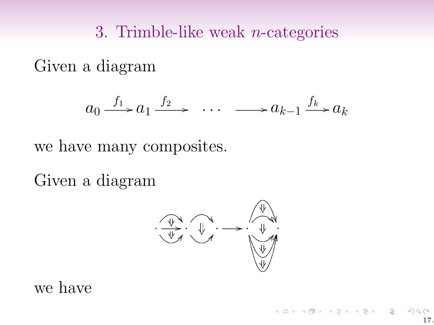Given a diagram

$$
a_0 \xrightarrow{f_1} a_1 \xrightarrow{f_2} \cdots \xrightarrow{f_k} a_k
$$

we have many composites.

Given a diagram

· · BB JJLL · ·/ · · DD · ·/

we have

イロト イ御 トメ 君 トメ 君 トー 君 一の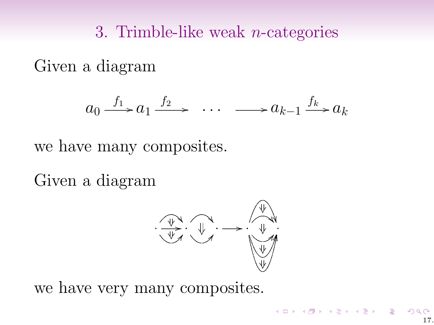Given a diagram

$$
a_0 \xrightarrow{f_1} a_1 \xrightarrow{f_2} \cdots \xrightarrow{f_k} a_k
$$

we have many composites.

Given a diagram



we have very many composites.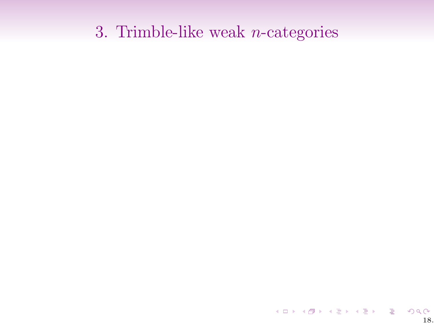イロト イ団ト イミト イミト ニミー りんぴ 18.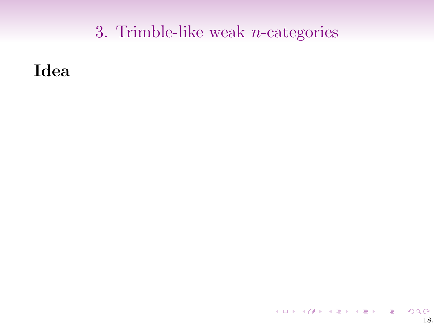Idea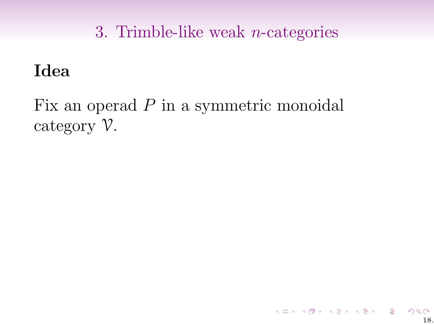### Idea

Fix an operad P in a symmetric monoidal category V.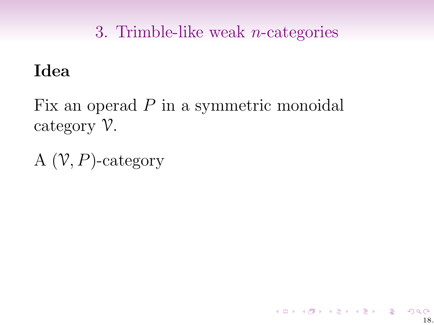18.

《 ロ 》 《 御 》 《 聖 》 《 聖 》 《 聖 》

### Idea

Fix an operad P in a symmetric monoidal category V.

A  $(V, P)$ -category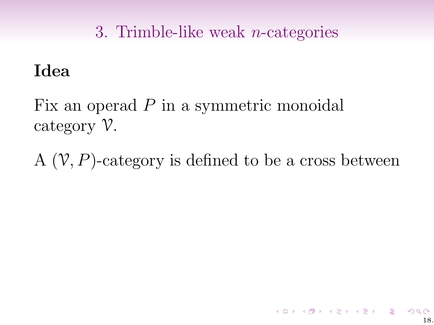### Idea

Fix an operad P in a symmetric monoidal category V.

A  $(V, P)$ -category is defined to be a cross between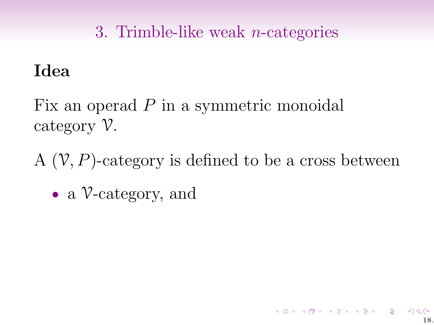### Idea

Fix an operad P in a symmetric monoidal category V.

A  $(V, P)$ -category is defined to be a cross between

• a *V*-category, and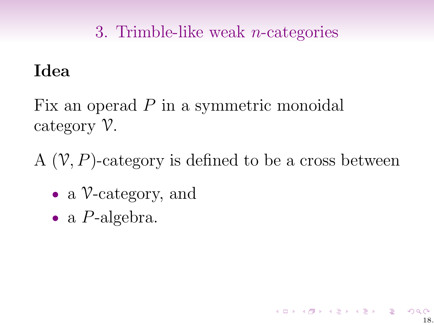### Idea

Fix an operad P in a symmetric monoidal category V.

A  $(V, P)$ -category is defined to be a cross between

18.

K ロ ▶ K @ ▶ K 할 ▶ K 할 ▶ 이 할 → ⊙

- a V-category, and
- a *P*-algebra.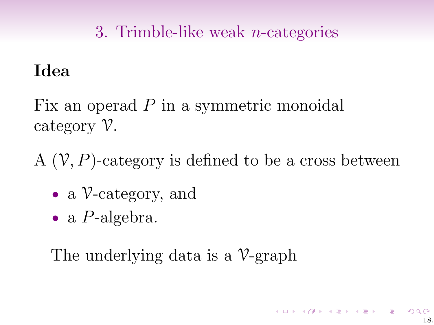### Idea

Fix an operad P in a symmetric monoidal category V.

A  $(V, P)$ -category is defined to be a cross between

- a *V*-category, and
- a *P*-algebra.

—The underlying data is a  $\mathcal{V}\text{-graph}$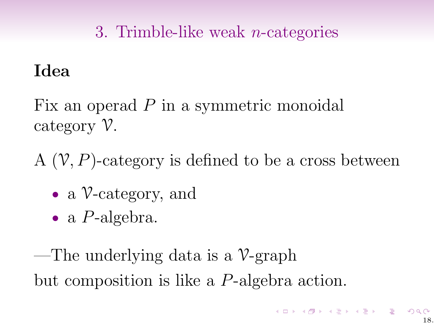### Idea

Fix an operad P in a symmetric monoidal category V.

A  $(V, P)$ -category is defined to be a cross between

- a *V*-category, and
- a *P*-algebra.

—The underlying data is a  $\mathcal{V}\text{-graph}$ but composition is like a P-algebra action.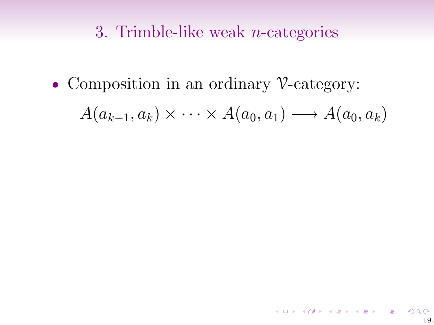• Composition in an ordinary V-category:

$$
A(a_{k-1},a_k)\times\cdots\times A(a_0,a_1)\longrightarrow A(a_0,a_k)
$$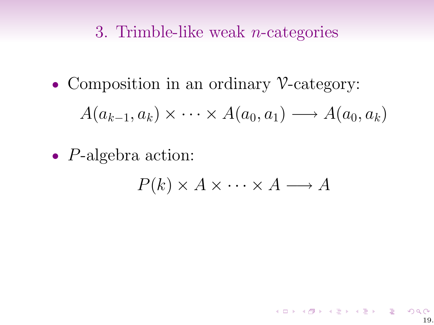• Composition in an ordinary V-category:

$$
A(a_{k-1},a_k)\times\cdots\times A(a_0,a_1)\longrightarrow A(a_0,a_k)
$$

• P-algebra action:

$$
P(k) \times A \times \cdots \times A \longrightarrow A
$$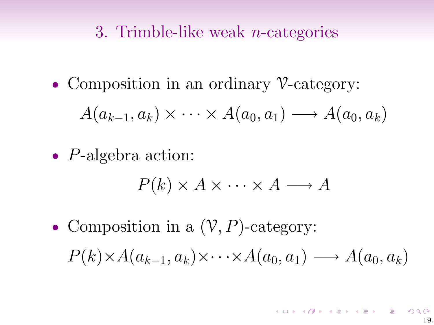• Composition in an ordinary V-category:

$$
A(a_{k-1},a_k)\times\cdots\times A(a_0,a_1)\longrightarrow A(a_0,a_k)
$$

• P-algebra action:

$$
P(k) \times A \times \cdots \times A \longrightarrow A
$$

• Composition in a  $(\mathcal{V}, P)$ -category:  $P(k) \times A(a_{k-1}, a_k) \times \cdots \times A(a_0, a_1) \longrightarrow A(a_0, a_k)$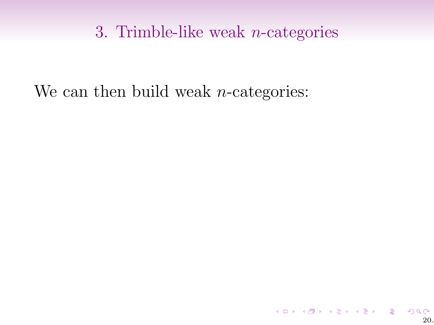We can then build weak *n*-categories: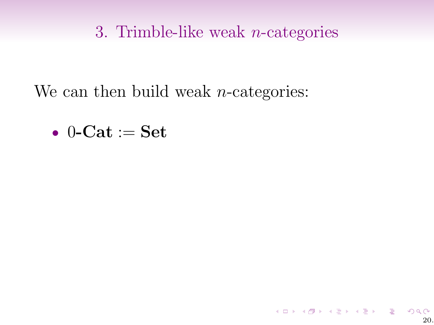We can then build weak *n*-categories:

$$
\bullet\:\: 0\text{-}\mathbf{Cat}:=\mathbf{Set}
$$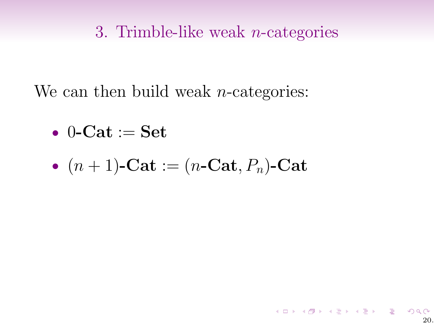We can then build weak *n*-categories:

$$
\bullet\:\: 0\text{-}\mathbf{Cat}:=\mathbf{Set}
$$

• 
$$
(n+1)
$$
-Cat :=  $(n\text{-Cat}, P_n)$ -Cat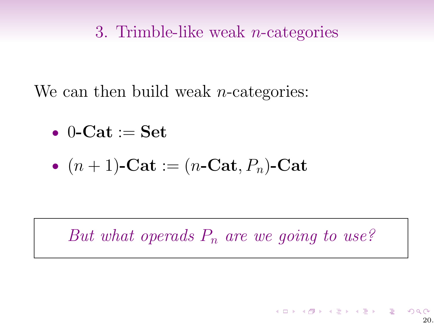We can then build weak *n*-categories:

$$
\bullet\:\: 0\text{-}\mathbf{Cat}:=\mathbf{Set}
$$

• 
$$
(n+1)
$$
-Cat :=  $(n\text{-Cat}, P_n)$ -Cat

But what operads  $P_n$  are we going to use?

20.

K ロ ▶ K @ ▶ K 경 ▶ K 경 ▶ X 경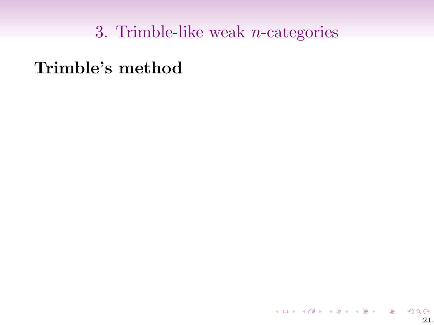Trimble's method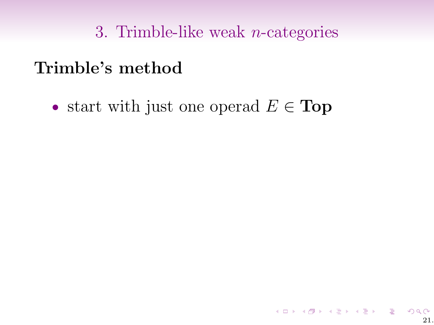### Trimble's method

• start with just one operad  $E \in \textbf{Top}$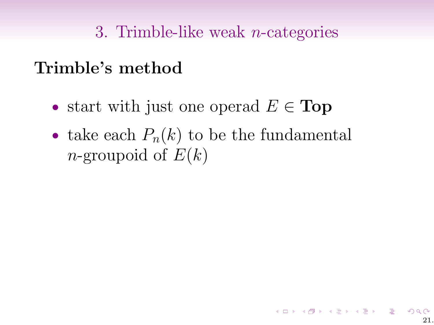### Trimble's method

- start with just one operad  $E \in \text{Top}$
- take each  $P_n(k)$  to be the fundamental *n*-groupoid of  $E(k)$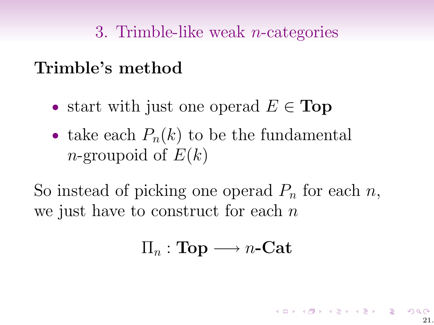### Trimble's method

- start with just one operad  $E \in \textbf{Top}$
- take each  $P_n(k)$  to be the fundamental *n*-groupoid of  $E(k)$

So instead of picking one operad  $P_n$  for each n, we just have to construct for each  $n$ 

### $\Pi_n : \textbf{Top} \longrightarrow n\textbf{-Cat}$

K ロ X x 何 X x モ X x モ X → モ → ウ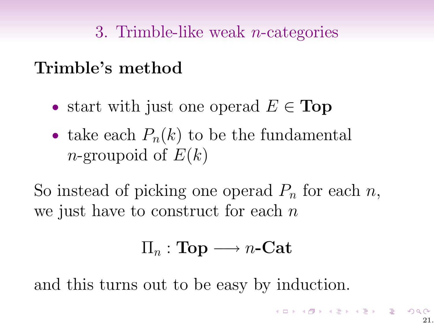### Trimble's method

- start with just one operad  $E \in \textbf{Top}$
- take each  $P_n(k)$  to be the fundamental *n*-groupoid of  $E(k)$

So instead of picking one operad  $P_n$  for each n, we just have to construct for each  $n$ 

### $\Pi_n : \textbf{Top} \longrightarrow n\textbf{-Cat}$

and this turns out to be easy by induction.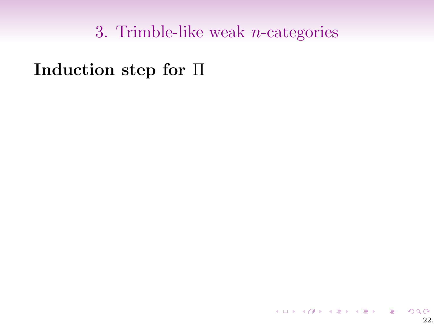Induction step for Π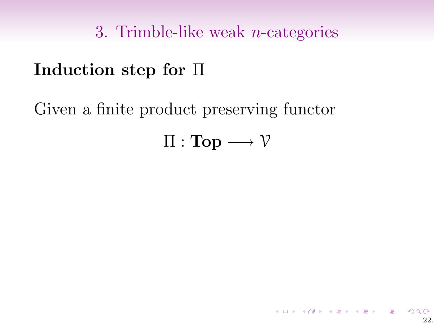### Induction step for Π

Given a finite product preserving functor

# $\Pi : Top \longrightarrow V$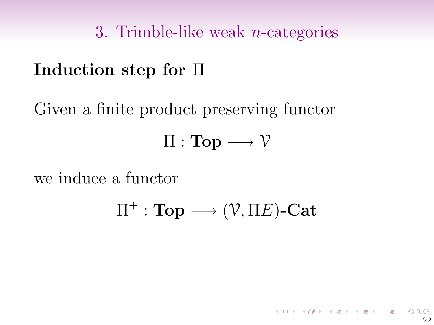## Induction step for Π

Given a finite product preserving functor  $\Pi : Top \longrightarrow V$ 

we induce a functor

 $\Pi^+:\mathbf{Top}\longrightarrow (\mathcal{V},\Pi E)\text{-}\mathbf{Cat}$ 

 $22.2$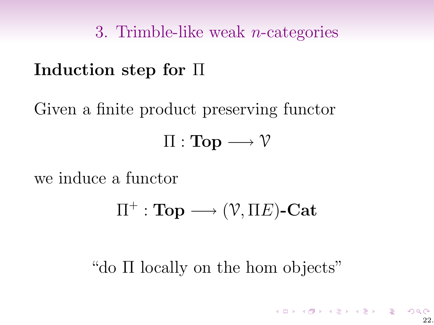# Induction step for Π

Given a finite product preserving functor  $\Pi : Top \longrightarrow V$ 

we induce a functor

$$
\Pi^+:\mathbf{Top}\longrightarrow (\mathcal{V},\Pi E)\text{-}\mathbf{Cat}
$$

"do Π locally on the hom objects"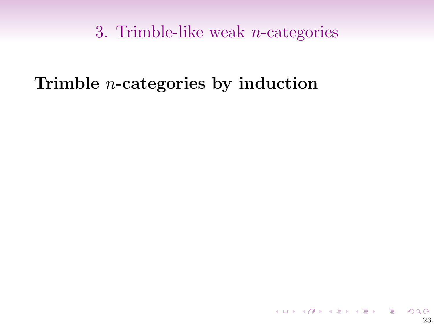### Trimble n-categories by induction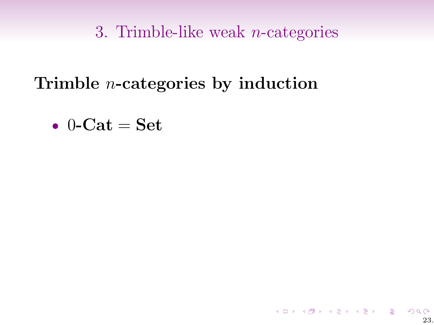Trimble n-categories by induction

$$
\bullet \ \ 0\text{-}\mathbf{Cat} = \mathbf{Set}
$$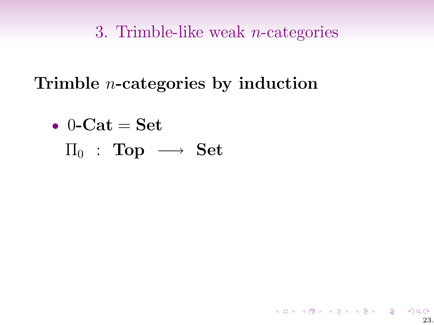23.

 $QQ$ 

メロト メタト メミト メミト ニミーの

Trimble n-categories by induction

$$
\begin{array}{ll} \bullet & 0\text{-}\mathbf{Cat} = \mathbf{Set} \\ \Pi_0 & \colon \textbf{Top} \; \longrightarrow \; \mathbf{Set} \end{array}
$$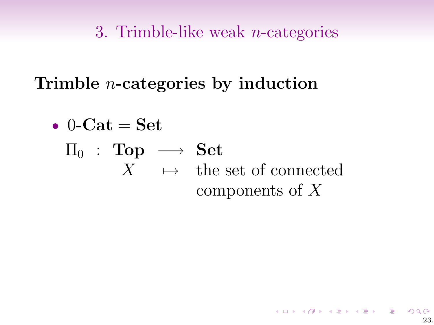Trimble n-categories by induction

• 0-Cat = Set  
\n
$$
\Pi_0
$$
: Top  $\longrightarrow$  Set  
\n $X \longrightarrow$  the set of connected  
\ncomponents of X

イロト イ団ト イミト イミト ニヨー つんぺ 23.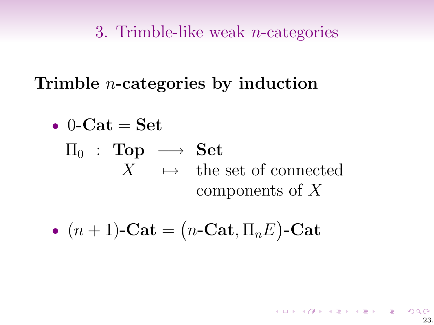Trimble n-categories by induction

• 0-Cat = Set  
\n
$$
\Pi_0
$$
: Top  $\longrightarrow$  Set  
\n $X \rightarrow$  the set of connected  
\ncomponents of X

• 
$$
(n+1)
$$
-Cat =  $(n\text{-Cat}, \Pi_n E)$ -Cat

23.

 $QQ$ 

メロト メタト メミト メミト ニミーの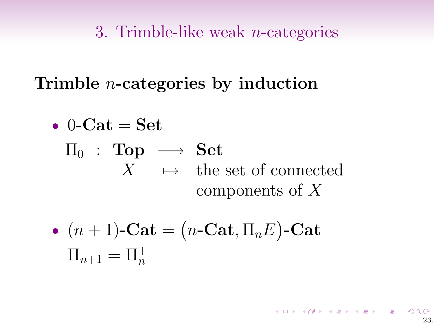Trimble n-categories by induction

• 0-Cat = Set  
\n
$$
\Pi_0
$$
: Top  $\longrightarrow$  Set  
\n $X \longrightarrow$  the set of connected  
\ncomponents of X

• 
$$
(n + 1)
$$
-Cat =  $(n$ -Cat,  $\Pi_n E$ )-Cat  
 $\Pi_{n+1} = \Pi_n^+$ 

メロト メタト メミト メミト ニミーの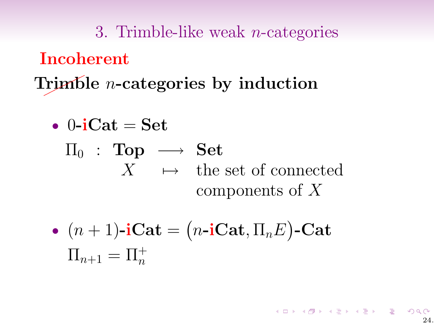3. Trimble-like weak n-categories Trimble *n*-categories by induction Incoherent

• 
$$
0\text{-iCat} = \text{Set}
$$
  
\n $\Pi_0 : \text{Top} \longrightarrow \text{Set}$   
\n $X \rightarrow \text{the set of connected} \atop \text{components of } X$ 

• 
$$
(n+1)
$$
-iCat =  $(n$ -iCat,  $\Pi_n E$ )-Cat  
 $\Pi_{n+1} = \Pi_n^+$ 

メロトメ 倒 トメ ミトメ ミトリーミー り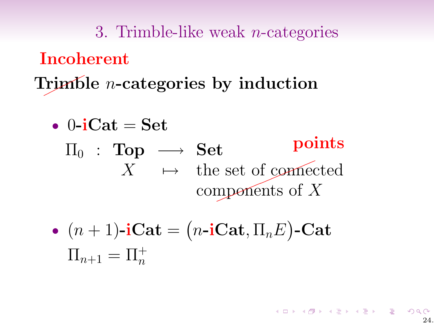3. Trimble-like weak n-categories Trimble *n*-categories by induction Incoherent

\n- 0-iCat = Set\n 
$$
\Pi_0
$$
 : Top  $\longrightarrow$  Set\n  $X \mapsto$  the set of connected components of  $X$ \n
\n- $(n+1)$ -iCat =  $(n$ -iCat,  $\Pi_n E$ )-Cat\n  $\Pi_{n+1} = \Pi_n^+$ \n
\n

K ロ K K 日 K K モ K K E K H H V Q Q Q C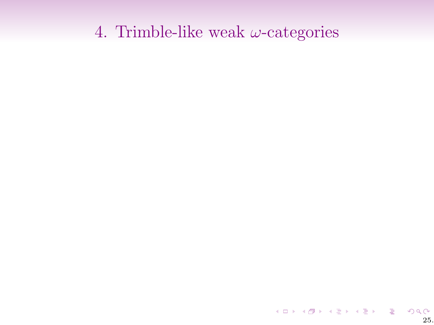イロト イ団ト イミト イミト ニミー りんぴ 25.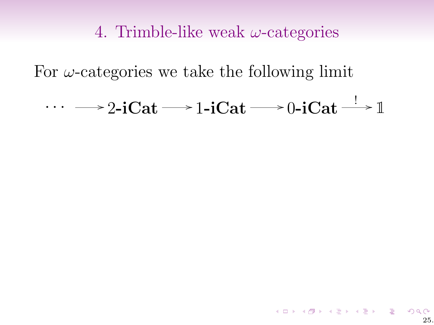For  $\omega$ -categories we take the following limit

 $\cdots \longrightarrow$  2-iCat  $\longrightarrow$  1-iCat  $\longrightarrow$  0-iCat  $\stackrel{!}{\longrightarrow} \mathbb{1}$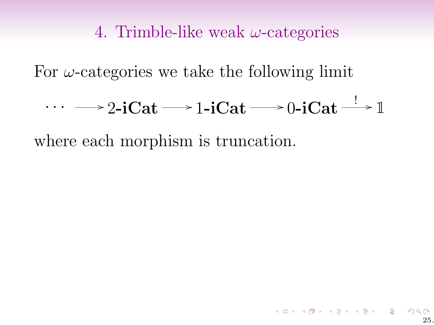For  $\omega$ -categories we take the following limit

$$
\cdots \longrightarrow 2\text{-iCat} \longrightarrow 1\text{-iCat} \longrightarrow 0\text{-iCat} \longrightarrow \mathbb{1}
$$

where each morphism is truncation.

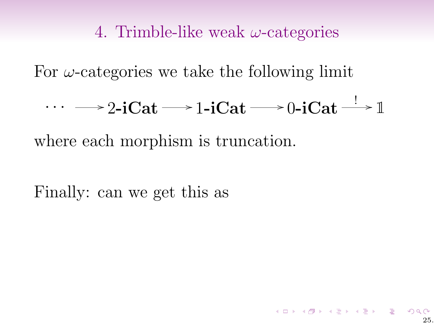For  $\omega$ -categories we take the following limit

$$
\cdots \longrightarrow 2\text{-iCat} \longrightarrow 1\text{-iCat} \longrightarrow 0\text{-iCat} \longrightarrow \mathbb{1}
$$

where each morphism is truncation.

Finally: can we get this as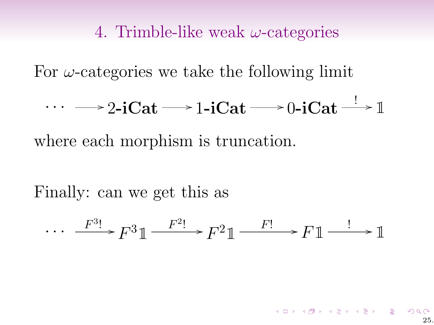For  $\omega$ -categories we take the following limit

$$
\cdots \longrightarrow 2\text{-iCat} \longrightarrow 1\text{-iCat} \longrightarrow 0\text{-iCat} \longrightarrow \mathbb{1}
$$

where each morphism is truncation.

Finally: can we get this as

$$
\cdots \xrightarrow{F^{3}!} F^{3} \mathbb{1} \xrightarrow{F^{2}!} F^{2} \mathbb{1} \xrightarrow{F!} F \mathbb{1} \xrightarrow{!} \mathbb{1}
$$

25.

イロト イ御 トメ 君 トメ 君 トー 君 一の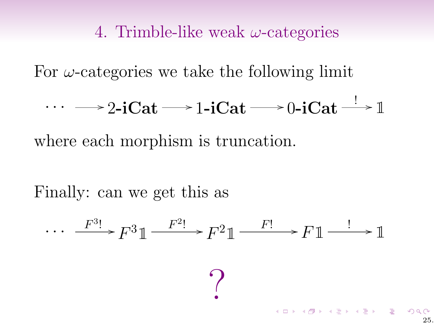For  $\omega$ -categories we take the following limit

$$
\cdots \longrightarrow 2\text{-iCat} \longrightarrow 1\text{-iCat} \longrightarrow 0\text{-iCat} \longrightarrow \mathbb{1}
$$

where each morphism is truncation.

Finally: can we get this as

$$
\cdots \xrightarrow{F^{3}!} F^{3} \mathbb{1} \xrightarrow{F^{2}!} F^{2} \mathbb{1} \xrightarrow{F!} F \mathbb{1} \xrightarrow{!} \mathbb{1}
$$

25.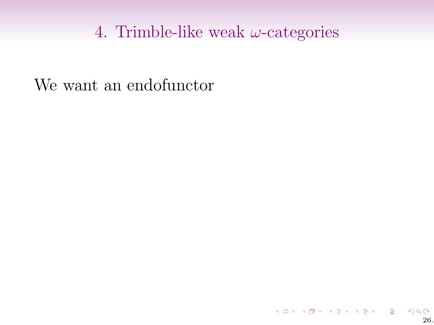We want an endofunctor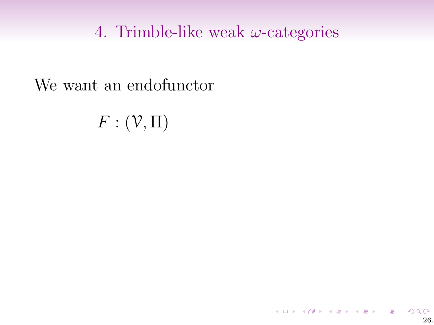We want an endofunctor

 $F:(\mathcal{V},\Pi)$ 

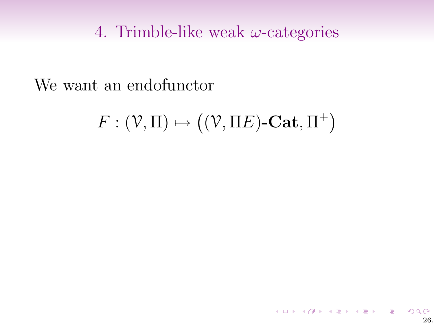We want an endofunctor

 $F: (\mathcal{V}, \Pi) \mapsto ((\mathcal{V}, \Pi E)\text{-}\mathbf{Cat}, \Pi^+)$ 

メロト メタト メミト メミト ニミーの 26.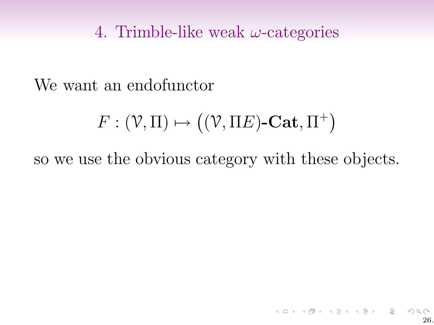We want an endofunctor

$$
F: (\mathcal{V}, \Pi) \mapsto ((\mathcal{V}, \Pi E)\text{-}\mathbf{Cat}, \Pi^+)
$$

so we use the obvious category with these objects.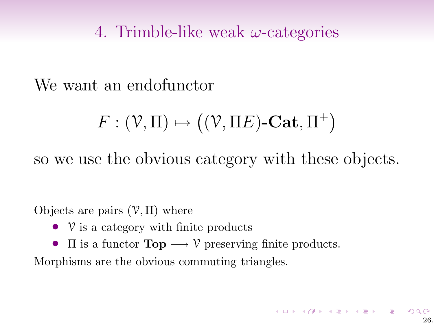We want an endofunctor

$$
F: (\mathcal{V}, \Pi) \mapsto ((\mathcal{V}, \Pi E)\text{-}\mathbf{Cat}, \Pi^+)
$$

so we use the obvious category with these objects.

Objects are pairs  $(V, \Pi)$  where

- $V$  is a category with finite products
- $\Pi$  is a functor  $\text{Top} \longrightarrow \mathcal{V}$  preserving finite products.

Morphisms are the obvious commuting triangles.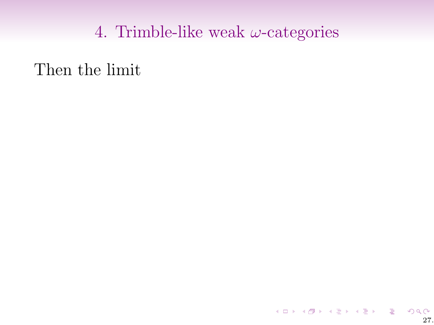Then the limit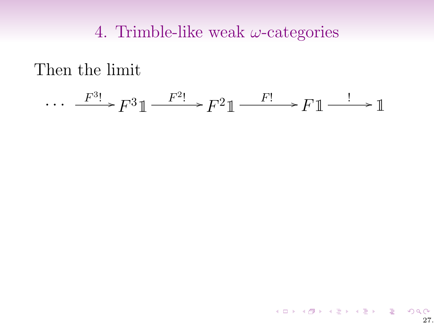Then the limit

$$
\cdots \xrightarrow{F^{3}!} F^{3} \mathbb{1} \xrightarrow{F^{2}!} F^{2} \mathbb{1} \xrightarrow{F!} F \mathbb{1} \xrightarrow{!} \mathbb{1}
$$

K ロ K K 日 K K モ K K E K H H V Q Q Q C 27.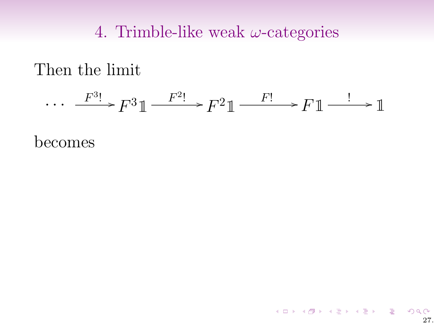### Then the limit

$$
\cdots \xrightarrow{F^{3}!} F^{3} \mathbb{1} \xrightarrow{F^{2}!} F^{2} \mathbb{1} \xrightarrow{F!} F \mathbb{1} \xrightarrow{!} \mathbb{1}
$$

K ロ K K 日 K K モ K K E K H H V Q Q Q C

27.

becomes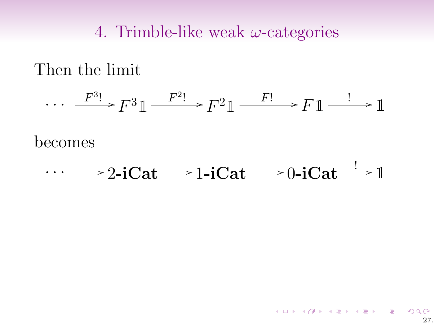Then the limit

$$
\cdots \xrightarrow{F^{3}!} F^{3} \mathbb{1} \xrightarrow{F^{2}!} F^{2} \mathbb{1} \xrightarrow{F!} F \mathbb{1} \xrightarrow{!} \mathbb{1}
$$

becomes

$$
\cdots \longrightarrow 2\text{-iCat} \longrightarrow 1\text{-iCat} \longrightarrow 0\text{-iCat} \longrightarrow \mathbb{1}
$$